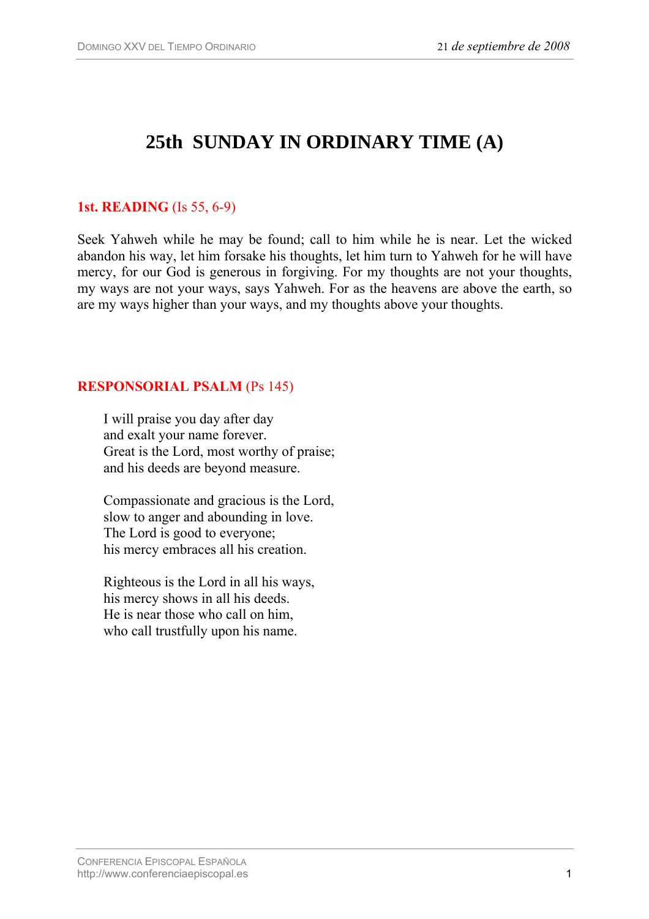# **25th SUNDAY IN ORDINARY TIME (A)**

## **1st. READING** (Is 55, 6-9)

Seek Yahweh while he may be found; call to him while he is near. Let the wicked abandon his way, let him forsake his thoughts, let him turn to Yahweh for he will have mercy, for our God is generous in forgiving. For my thoughts are not your thoughts, my ways are not your ways, says Yahweh. For as the heavens are above the earth, so are my ways higher than your ways, and my thoughts above your thoughts.

## **RESPONSORIAL PSALM** (Ps 145)

I will praise you day after day and exalt your name forever. Great is the Lord, most worthy of praise; and his deeds are beyond measure.

Compassionate and gracious is the Lord, slow to anger and abounding in love. The Lord is good to everyone; his mercy embraces all his creation.

Righteous is the Lord in all his ways, his mercy shows in all his deeds. He is near those who call on him, who call trustfully upon his name.